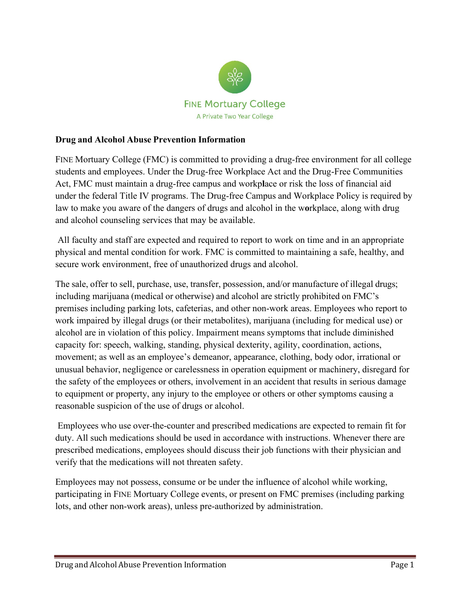

#### **Drug and Alcohol Abuse Prevention Information**

FINE Mortuary College (FMC) is committed to providing a drug-free environment for all college students and employees. Under the Drug-free Workplace Act and the Drug-Free Communities Act, FMC must maintain a drug-free campus and workp**l**ace or risk the loss of financial aid under the federal Title IV programs. The Drug-free Campus and Workplace Policy is required by law to make you aware of the dangers of drugs and alcohol in the w**o**rkplace, along with drug and alcohol counseling services that may be available.

All faculty and staff are expected and required to report to work on time and in an appropriate physical and mental condition for work. FMC is committed to maintaining a safe, healthy, and secure work environment, free of unauthorized drugs and alcohol.

The sale, offer to sell, purchase, use, transfer, possession, and/or manufacture of illegal drugs; including marijuana (medical or otherwise) and alcohol are strictly prohibited on FMC's premises including parking lots, cafeterias, and other non-work areas. Employees who report to work impaired by illegal drugs (or their metabolites), marijuana (including for medical use) or alcohol are in violation of this policy. Impairment means symptoms that include diminished capacity for: speech, walking, standing, physical dexterity, agility, coordination, actions, movement; as well as an employee's demeanor, appearance, clothing, body odor, irrational or unusual behavior, negligence or carelessness in operation equipment or machinery, disregard for the safety of the employees or others, involvement in an accident that results in serious damage to equipment or property, any injury to the employee or others or other symptoms causing a reasonable suspicion of the use of drugs or alcohol.

Employees who use over-the-counter and prescribed medications are expected to remain fit for duty. All such medications should be used in accordance with instructions. Whenever there are prescribed medications, employees should discuss their job functions with their physician and verify that the medications will not threaten safety.

Employees may not possess, consume or be under the influence of alcohol while working, participating in FINE Mortuary College events, or present on FMC premises (including parking lots, and other non-work areas), unless pre-authorized by administration.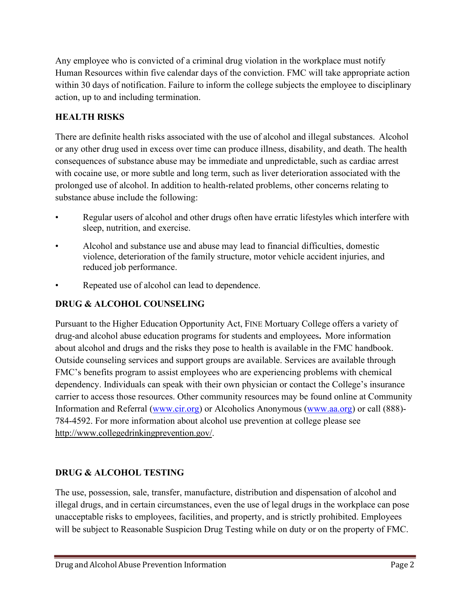Any employee who is convicted of a criminal drug violation in the workplace must notify Human Resources within five calendar days of the conviction. FMC will take appropriate action within 30 days of notification. Failure to inform the college subjects the employee to disciplinary action, up to and including termination.

## **HEALTH RISKS**

There are definite health risks associated with the use of alcohol and illegal substances. Alcohol or any other drug used in excess over time can produce illness, disability, and death. The health consequences of substance abuse may be immediate and unpredictable, such as cardiac arrest with cocaine use, or more subtle and long term, such as liver deterioration associated with the prolonged use of alcohol. In addition to health-related problems, other concerns relating to substance abuse include the following:

- Regular users of alcohol and other drugs often have erratic lifestyles which interfere with sleep, nutrition, and exercise.
- Alcohol and substance use and abuse may lead to financial difficulties, domestic violence, deterioration of the family structure, motor vehicle accident injuries, and reduced job performance.
- Repeated use of alcohol can lead to dependence.

# **DRUG & ALCOHOL COUNSELING**

Pursuant to the Higher Education Opportunity Act, FINE Mortuary College offers a variety of drug-and alcohol abuse education programs for students and employees**.** More information about alcohol and drugs and the risks they pose to health is available in the FMC handbook. Outside counseling services and support groups are available. Services are available through FMC's benefits program to assist employees who are experiencing problems with chemical dependency. Individuals can speak with their own physician or contact the College's insurance carrier to access those resources. Other community resources may be found online at Community Information and Referral (www.cir.org) or Alcoholics Anonymous (www.aa.org) or call (888)- 784-4592. For more information about alcohol use prevention at college please see [http://www.collegedrinkingprevention.gov/.](http://www.collegedrinkingprevention.gov/)

### **DRUG & ALCOHOL TESTING**

The use, possession, sale, transfer, manufacture, distribution and dispensation of alcohol and illegal drugs, and in certain circumstances, even the use of legal drugs in the workplace can pose unacceptable risks to employees, facilities, and property, and is strictly prohibited. Employees will be subject to Reasonable Suspicion Drug Testing while on duty or on the property of FMC.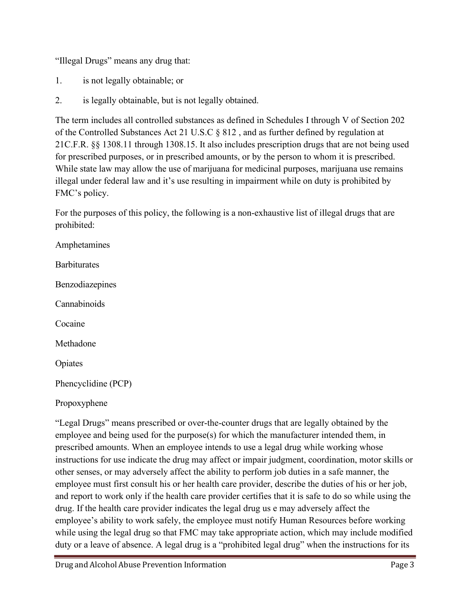"Illegal Drugs" means any drug that:

- 1. is not legally obtainable; or
- 2. is legally obtainable, but is not legally obtained.

The term includes all controlled substances as defined in Schedules I through V of Section 202 of the Controlled Substances Act 21 U.S.C § 812 , and as further defined by regulation at 21C.F.R. §§ 1308.11 through 1308.15. It also includes prescription drugs that are not being used for prescribed purposes, or in prescribed amounts, or by the person to whom it is prescribed. While state law may allow the use of marijuana for medicinal purposes, marijuana use remains illegal under federal law and it's use resulting in impairment while on duty is prohibited by FMC's policy.

For the purposes of this policy, the following is a non-exhaustive list of illegal drugs that are prohibited:

Amphetamines **Barbiturates** Benzodiazepines Cannabinoids Cocaine Methadone Opiates Phencyclidine (PCP) Propoxyphene

"Legal Drugs" means prescribed or over-the-counter drugs that are legally obtained by the employee and being used for the purpose(s) for which the manufacturer intended them, in prescribed amounts. When an employee intends to use a legal drug while working whose instructions for use indicate the drug may affect or impair judgment, coordination, motor skills or other senses, or may adversely affect the ability to perform job duties in a safe manner, the employee must first consult his or her health care provider, describe the duties of his or her job, and report to work only if the health care provider certifies that it is safe to do so while using the drug. If the health care provider indicates the legal drug us e may adversely affect the employee's ability to work safely, the employee must notify Human Resources before working while using the legal drug so that FMC may take appropriate action, which may include modified duty or a leave of absence. A legal drug is a "prohibited legal drug" when the instructions for its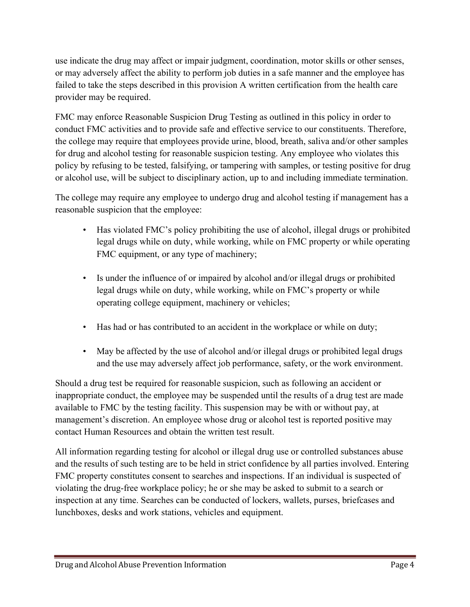use indicate the drug may affect or impair judgment, coordination, motor skills or other senses, or may adversely affect the ability to perform job duties in a safe manner and the employee has failed to take the steps described in this provision A written certification from the health care provider may be required.

FMC may enforce Reasonable Suspicion Drug Testing as outlined in this policy in order to conduct FMC activities and to provide safe and effective service to our constituents. Therefore, the college may require that employees provide urine, blood, breath, saliva and/or other samples for drug and alcohol testing for reasonable suspicion testing. Any employee who violates this policy by refusing to be tested, falsifying, or tampering with samples, or testing positive for drug or alcohol use, will be subject to disciplinary action, up to and including immediate termination.

The college may require any employee to undergo drug and alcohol testing if management has a reasonable suspicion that the employee:

- Has violated FMC's policy prohibiting the use of alcohol, illegal drugs or prohibited legal drugs while on duty, while working, while on FMC property or while operating FMC equipment, or any type of machinery;
- Is under the influence of or impaired by alcohol and/or illegal drugs or prohibited legal drugs while on duty, while working, while on FMC's property or while operating college equipment, machinery or vehicles;
- Has had or has contributed to an accident in the workplace or while on duty;
- May be affected by the use of alcohol and/or illegal drugs or prohibited legal drugs and the use may adversely affect job performance, safety, or the work environment.

Should a drug test be required for reasonable suspicion, such as following an accident or inappropriate conduct, the employee may be suspended until the results of a drug test are made available to FMC by the testing facility. This suspension may be with or without pay, at management's discretion. An employee whose drug or alcohol test is reported positive may contact Human Resources and obtain the written test result.

All information regarding testing for alcohol or illegal drug use or controlled substances abuse and the results of such testing are to be held in strict confidence by all parties involved. Entering FMC property constitutes consent to searches and inspections. If an individual is suspected of violating the drug-free workplace policy; he or she may be asked to submit to a search or inspection at any time. Searches can be conducted of lockers, wallets, purses, briefcases and lunchboxes, desks and work stations, vehicles and equipment.